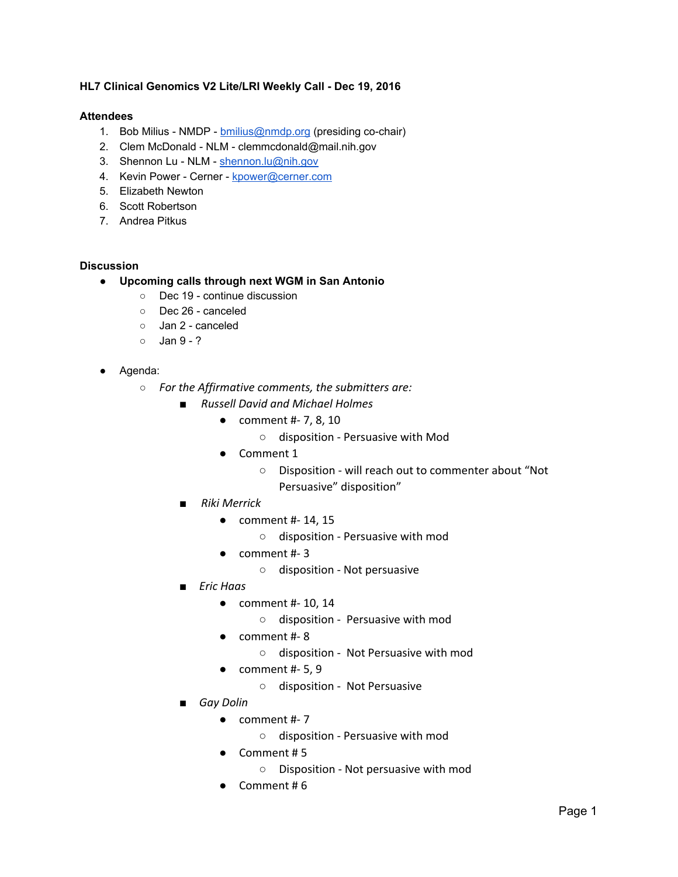## **HL7 Clinical Genomics V2 Lite/LRI Weekly Call - Dec 19, 2016**

## **Attendees**

- 1. Bob Milius NMDP [bmilius@nmdp.org](mailto:bmilius@nmdp.org) (presiding co-chair)
- 2. Clem McDonald NLM clemmcdonald@mail.nih.gov
- 3. Shennon Lu NLM - [shennon.lu@nih.gov](mailto:shennon.lu@nih.gov)
- 4. Kevin Power Cerner - [kpower@cerner.com](mailto:kpower@cerner.com)
- 5. Elizabeth Newton
- 6. Scott Robertson
- 7. Andrea Pitkus

## **Discussion**

- **● Upcoming calls through next WGM in San Antonio**
	- Dec 19 continue discussion
	- Dec 26 canceled
	- Jan 2 canceled
	- $\circ$  Jan 9 ?
- Agenda:
	- *○ For the Affirmative comments, the submitters are:*
		- *■ Russell David and Michael Holmes*
			- comment #- 7, 8, 10
				- disposition Persuasive with Mod
			- Comment 1
				- Disposition will reach out to commenter about "Not Persuasive" disposition"
		- *■ Riki Merrick*
			- comment #- 14, 15
				- disposition Persuasive with mod
			- comment #- 3
				- disposition Not persuasive
		- *■ Eric Haas*
			- $\bullet$  comment #- 10, 14
				- disposition Persuasive with mod
			- comment #- 8
				- disposition Not Persuasive with mod
			- $\bullet$  comment #-5,9
				- disposition Not Persuasive
		- *Gay Dolin*
			- comment #- 7
				- disposition Persuasive with mod
			- Comment # 5
				- Disposition Not persuasive with mod
			- Comment # 6